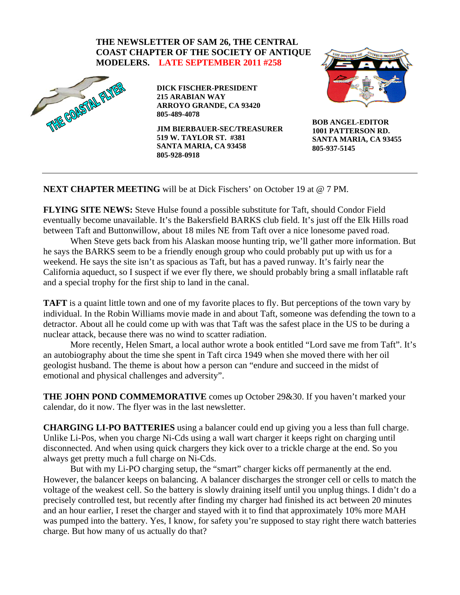

**JIM BIERBAUER-SEC/TREASURER 519 W. TAYLOR ST. #381 SANTA MARIA, CA 93458 805-928-0918** 



## **NEXT CHAPTER MEETING** will be at Dick Fischers' on October 19 at @ 7 PM.

**FLYING SITE NEWS:** Steve Hulse found a possible substitute for Taft, should Condor Field eventually become unavailable. It's the Bakersfield BARKS club field. It's just off the Elk Hills road between Taft and Buttonwillow, about 18 miles NE from Taft over a nice lonesome paved road.

When Steve gets back from his Alaskan moose hunting trip, we'll gather more information. But he says the BARKS seem to be a friendly enough group who could probably put up with us for a weekend. He says the site isn't as spacious as Taft, but has a paved runway. It's fairly near the California aqueduct, so I suspect if we ever fly there, we should probably bring a small inflatable raft and a special trophy for the first ship to land in the canal.

**TAFT** is a quaint little town and one of my favorite places to fly. But perceptions of the town vary by individual. In the Robin Williams movie made in and about Taft, someone was defending the town to a detractor. About all he could come up with was that Taft was the safest place in the US to be during a nuclear attack, because there was no wind to scatter radiation.

More recently, Helen Smart, a local author wrote a book entitled "Lord save me from Taft". It's an autobiography about the time she spent in Taft circa 1949 when she moved there with her oil geologist husband. The theme is about how a person can "endure and succeed in the midst of emotional and physical challenges and adversity".

**THE JOHN POND COMMEMORATIVE** comes up October 29&30. If you haven't marked your calendar, do it now. The flyer was in the last newsletter.

**CHARGING LI-PO BATTERIES** using a balancer could end up giving you a less than full charge. Unlike Li-Pos, when you charge Ni-Cds using a wall wart charger it keeps right on charging until disconnected. And when using quick chargers they kick over to a trickle charge at the end. So you always get pretty much a full charge on Ni-Cds.

 But with my Li-PO charging setup, the "smart" charger kicks off permanently at the end. However, the balancer keeps on balancing. A balancer discharges the stronger cell or cells to match the voltage of the weakest cell. So the battery is slowly draining itself until you unplug things. I didn't do a precisely controlled test, but recently after finding my charger had finished its act between 20 minutes and an hour earlier, I reset the charger and stayed with it to find that approximately 10% more MAH was pumped into the battery. Yes, I know, for safety you're supposed to stay right there watch batteries charge. But how many of us actually do that?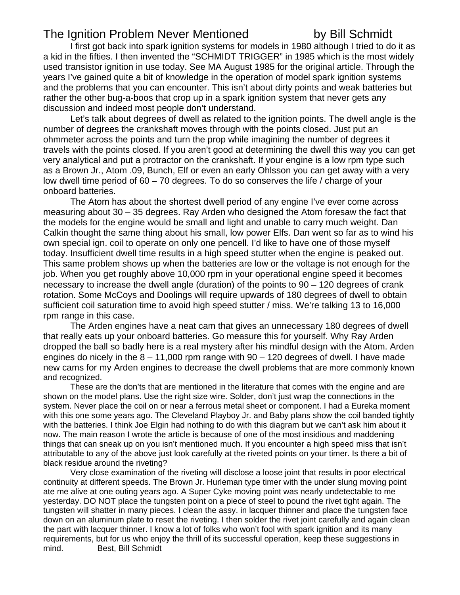# The Ignition Problem Never Mentioned by Bill Schmidt

I first got back into spark ignition systems for models in 1980 although I tried to do it as a kid in the fifties. I then invented the "SCHMIDT TRIGGER" in 1985 which is the most widely used transistor ignition in use today. See MA August 1985 for the original article. Through the years I've gained quite a bit of knowledge in the operation of model spark ignition systems and the problems that you can encounter. This isn't about dirty points and weak batteries but rather the other bug-a-boos that crop up in a spark ignition system that never gets any discussion and indeed most people don't understand.

Let's talk about degrees of dwell as related to the ignition points. The dwell angle is the number of degrees the crankshaft moves through with the points closed. Just put an ohmmeter across the points and turn the prop while imagining the number of degrees it travels with the points closed. If you aren't good at determining the dwell this way you can get very analytical and put a protractor on the crankshaft. If your engine is a low rpm type such as a Brown Jr., Atom .09, Bunch, Elf or even an early Ohlsson you can get away with a very low dwell time period of 60 – 70 degrees. To do so conserves the life / charge of your onboard batteries.

The Atom has about the shortest dwell period of any engine I've ever come across measuring about 30 – 35 degrees. Ray Arden who designed the Atom foresaw the fact that the models for the engine would be small and light and unable to carry much weight. Dan Calkin thought the same thing about his small, low power Elfs. Dan went so far as to wind his own special ign. coil to operate on only one pencell. I'd like to have one of those myself today. Insufficient dwell time results in a high speed stutter when the engine is peaked out. This same problem shows up when the batteries are low or the voltage is not enough for the job. When you get roughly above 10,000 rpm in your operational engine speed it becomes necessary to increase the dwell angle (duration) of the points to 90 – 120 degrees of crank rotation. Some McCoys and Doolings will require upwards of 180 degrees of dwell to obtain sufficient coil saturation time to avoid high speed stutter / miss. We're talking 13 to 16,000 rpm range in this case.

The Arden engines have a neat cam that gives an unnecessary 180 degrees of dwell that really eats up your onboard batteries. Go measure this for yourself. Why Ray Arden dropped the ball so badly here is a real mystery after his mindful design with the Atom. Arden engines do nicely in the 8 – 11,000 rpm range with 90 – 120 degrees of dwell. I have made new cams for my Arden engines to decrease the dwell problems that are more commonly known and recognized.

These are the don'ts that are mentioned in the literature that comes with the engine and are shown on the model plans. Use the right size wire. Solder, don't just wrap the connections in the system. Never place the coil on or near a ferrous metal sheet or component. I had a Eureka moment with this one some years ago. The Cleveland Playboy Jr. and Baby plans show the coil banded tightly with the batteries. I think Joe Elgin had nothing to do with this diagram but we can't ask him about it now. The main reason I wrote the article is because of one of the most insidious and maddening things that can sneak up on you isn't mentioned much. If you encounter a high speed miss that isn't attributable to any of the above just look carefully at the riveted points on your timer. Is there a bit of black residue around the riveting?

Very close examination of the riveting will disclose a loose joint that results in poor electrical continuity at different speeds. The Brown Jr. Hurleman type timer with the under slung moving point ate me alive at one outing years ago. A Super Cyke moving point was nearly undetectable to me yesterday. DO NOT place the tungsten point on a piece of steel to pound the rivet tight again. The tungsten will shatter in many pieces. I clean the assy. in lacquer thinner and place the tungsten face down on an aluminum plate to reset the riveting. I then solder the rivet joint carefully and again clean the part with lacquer thinner. I know a lot of folks who won't fool with spark ignition and its many requirements, but for us who enjoy the thrill of its successful operation, keep these suggestions in mind. **Best, Bill Schmidt**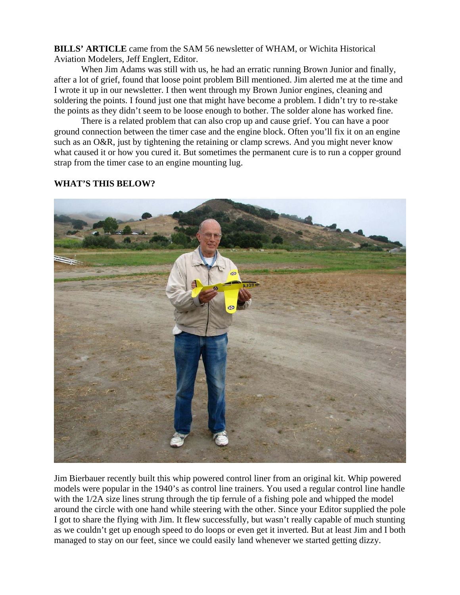**BILLS' ARTICLE** came from the SAM 56 newsletter of WHAM, or Wichita Historical Aviation Modelers, Jeff Englert, Editor.

When Jim Adams was still with us, he had an erratic running Brown Junior and finally, after a lot of grief, found that loose point problem Bill mentioned. Jim alerted me at the time and I wrote it up in our newsletter. I then went through my Brown Junior engines, cleaning and soldering the points. I found just one that might have become a problem. I didn't try to re-stake the points as they didn't seem to be loose enough to bother. The solder alone has worked fine.

There is a related problem that can also crop up and cause grief. You can have a poor ground connection between the timer case and the engine block. Often you'll fix it on an engine such as an O&R, just by tightening the retaining or clamp screws. And you might never know what caused it or how you cured it. But sometimes the permanent cure is to run a copper ground strap from the timer case to an engine mounting lug.

### **WHAT'S THIS BELOW?**



Jim Bierbauer recently built this whip powered control liner from an original kit. Whip powered models were popular in the 1940's as control line trainers. You used a regular control line handle with the  $1/2A$  size lines strung through the tip ferrule of a fishing pole and whipped the model around the circle with one hand while steering with the other. Since your Editor supplied the pole I got to share the flying with Jim. It flew successfully, but wasn't really capable of much stunting as we couldn't get up enough speed to do loops or even get it inverted. But at least Jim and I both managed to stay on our feet, since we could easily land whenever we started getting dizzy.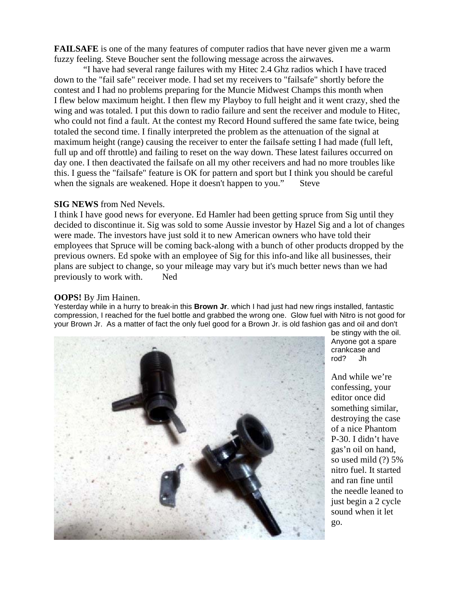**FAILSAFE** is one of the many features of computer radios that have never given me a warm fuzzy feeling. Steve Boucher sent the following message across the airwaves.

 "I have had several range failures with my Hitec 2.4 Ghz radios which I have traced down to the "fail safe" receiver mode. I had set my receivers to "failsafe" shortly before the contest and I had no problems preparing for the Muncie Midwest Champs this month when I flew below maximum height. I then flew my Playboy to full height and it went crazy, shed the wing and was totaled. I put this down to radio failure and sent the receiver and module to Hitec, who could not find a fault. At the contest my Record Hound suffered the same fate twice, being totaled the second time. I finally interpreted the problem as the attenuation of the signal at maximum height (range) causing the receiver to enter the failsafe setting I had made (full left, full up and off throttle) and failing to reset on the way down. These latest failures occurred on day one. I then deactivated the failsafe on all my other receivers and had no more troubles like this. I guess the "failsafe" feature is OK for pattern and sport but I think you should be careful when the signals are weakened. Hope it doesn't happen to you." Steve

#### **SIG NEWS** from Ned Nevels.

I think I have good news for everyone. Ed Hamler had been getting spruce from Sig until they decided to discontinue it. Sig was sold to some Aussie investor by Hazel Sig and a lot of changes were made. The investors have just sold it to new American owners who have told their employees that Spruce will be coming back-along with a bunch of other products dropped by the previous owners. Ed spoke with an employee of Sig for this info-and like all businesses, their plans are subject to change, so your mileage may vary but it's much better news than we had previously to work with. Ned

#### **OOPS!** By Jim Hainen.

Yesterday while in a hurry to break-in this **Brown Jr**. which I had just had new rings installed, fantastic compression, I reached for the fuel bottle and grabbed the wrong one. Glow fuel with Nitro is not good for your Brown Jr. As a matter of fact the only fuel good for a Brown Jr. is old fashion gas and oil and don't



be stingy with the oil. Anyone got a spare crankcase and rod? Jh

And while we're confessing, your editor once did something similar, destroying the case of a nice Phantom P-30. I didn't have gas'n oil on hand, so used mild (?) 5% nitro fuel. It started and ran fine until the needle leaned to just begin a 2 cycle sound when it let go.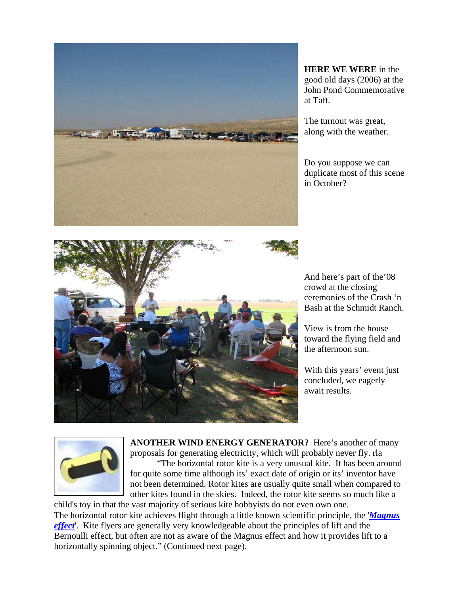

**HERE WE WERE** in the good old days (2006) at the John Pond Commemorative at Taft.

The turnout was great, along with the weather.

Do you suppose we can duplicate most of this scene in October?



And here's part of the'08 crowd at the closing ceremonies of the Crash 'n Bash at the Schmidt Ranch.

View is from the house toward the flying field and the afternoon sun.

With this years' event just concluded, we eagerly await results.



**ANOTHER WIND ENERGY GENERATOR?** Here's another of many proposals for generating electricity, which will probably never fly. rla "The horizontal rotor kite is a very unusual kite. It has been around for quite some time although its' exact date of origin or its' inventor have not been determined. Rotor kites are usually quite small when compared to other kites found in the skies. Indeed, the rotor kite seems so much like a

child's toy in that the vast majority of serious kite hobbyists do not even own one. The horizontal rotor kite achieves flight through a little known scientific principle, the '*[Magnus](http://en.wikipedia.org/wiki/Magnus_effect)  [effect](http://en.wikipedia.org/wiki/Magnus_effect)*'. Kite flyers are generally very knowledgeable about the principles of lift and the Bernoulli effect, but often are not as aware of the Magnus effect and how it provides lift to a horizontally spinning object." (Continued next page).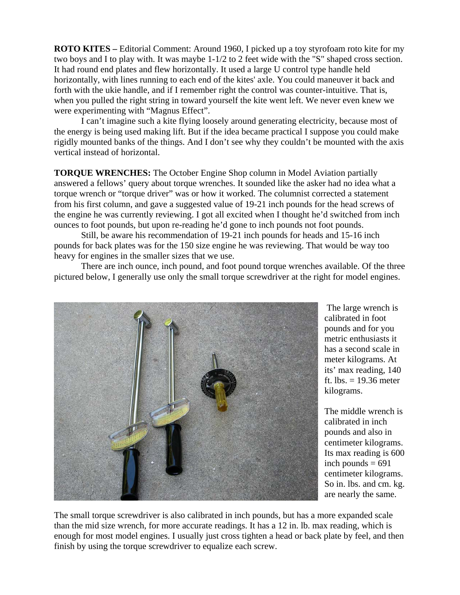**ROTO KITES –** Editorial Comment: Around 1960, I picked up a toy styrofoam roto kite for my two boys and I to play with. It was maybe 1-1/2 to 2 feet wide with the "S" shaped cross section. It had round end plates and flew horizontally. It used a large U control type handle held horizontally, with lines running to each end of the kites' axle. You could maneuver it back and forth with the ukie handle, and if I remember right the control was counter-intuitive. That is, when you pulled the right string in toward yourself the kite went left. We never even knew we were experimenting with "Magnus Effect".

 I can't imagine such a kite flying loosely around generating electricity, because most of the energy is being used making lift. But if the idea became practical I suppose you could make rigidly mounted banks of the things. And I don't see why they couldn't be mounted with the axis vertical instead of horizontal.

**TORQUE WRENCHES:** The October Engine Shop column in Model Aviation partially answered a fellows' query about torque wrenches. It sounded like the asker had no idea what a torque wrench or "torque driver" was or how it worked. The columnist corrected a statement from his first column, and gave a suggested value of 19-21 inch pounds for the head screws of the engine he was currently reviewing. I got all excited when I thought he'd switched from inch ounces to foot pounds, but upon re-reading he'd gone to inch pounds not foot pounds.

 Still, be aware his recommendation of 19-21 inch pounds for heads and 15-16 inch pounds for back plates was for the 150 size engine he was reviewing. That would be way too heavy for engines in the smaller sizes that we use.

 There are inch ounce, inch pound, and foot pound torque wrenches available. Of the three pictured below, I generally use only the small torque screwdriver at the right for model engines.



 The large wrench is calibrated in foot pounds and for you metric enthusiasts it has a second scale in meter kilograms. At its' max reading, 140 ft.  $lbs = 19.36$  meter kilograms.

The middle wrench is calibrated in inch pounds and also in centimeter kilograms. Its max reading is 600 inch pounds  $= 691$ centimeter kilograms. So in. lbs. and cm. kg. are nearly the same.

The small torque screwdriver is also calibrated in inch pounds, but has a more expanded scale than the mid size wrench, for more accurate readings. It has a 12 in. lb. max reading, which is enough for most model engines. I usually just cross tighten a head or back plate by feel, and then finish by using the torque screwdriver to equalize each screw.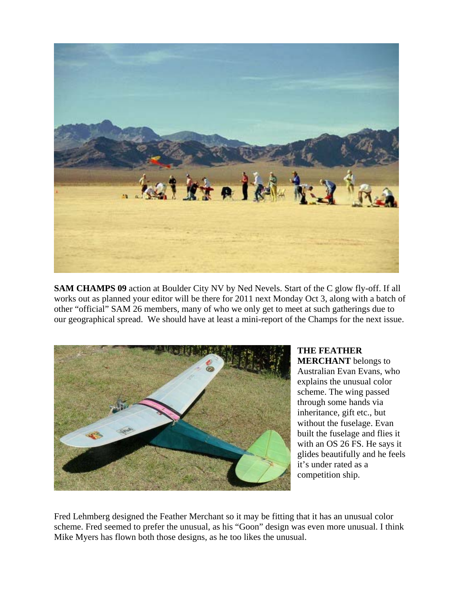

**SAM CHAMPS 09** action at Boulder City NV by Ned Nevels. Start of the C glow fly-off. If all works out as planned your editor will be there for 2011 next Monday Oct 3, along with a batch of other "official" SAM 26 members, many of who we only get to meet at such gatherings due to our geographical spread. We should have at least a mini-report of the Champs for the next issue.



**THE FEATHER MERCHANT** belongs to Australian Evan Evans, who explains the unusual color scheme. The wing passed through some hands via inheritance, gift etc., but without the fuselage. Evan built the fuselage and flies it with an OS 26 FS. He says it glides beautifully and he f eels it's under rated as a competition ship.

Fred Lehmberg designed the Feather Merchant so it may be fitting that it has an unusual color scheme. Fred seemed to prefer the unusual, as his "Goon" design was even more unusual. I think Mike Myers has flown both those designs, as he too likes the unusual.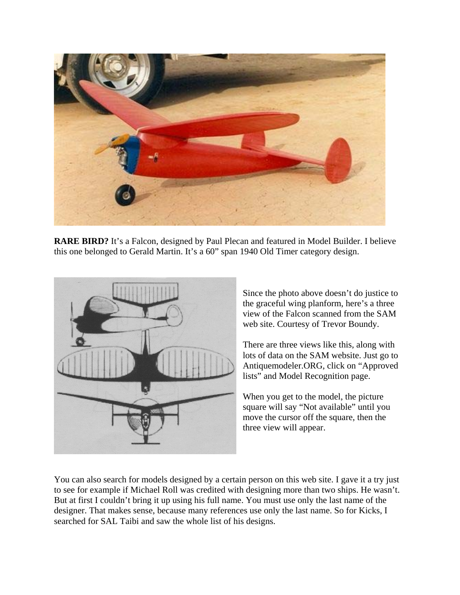

**RARE BIRD?** It's a Falcon, designed by Paul Plecan and featured in Model Builder. I believe this one belonged to Gerald Martin. It's a 60" span 1940 Old Timer category design.



Since the photo above doesn't do justice to the graceful wing planform, here's a three view of the Falcon scanned from the SAM web site. Courtesy of Trevor Boundy.

There are three views like this, along with lots of data on the SAM website. Just go to Antiquemodeler.ORG, click on "Approved lists" and Model Recognition page.

When you get to the model, the picture square will say "Not available" until you move the cursor off the square, then the three view will appear.

You can also search for models designed by a certain person on this web site. I gave it a try just to see for example if Michael Roll was credited with designing more than two ships. He wasn't. But at first I couldn't bring it up using his full name. You must use only the last name of the designer. That makes sense, because many references use only the last name. So for Kicks, I searched for SAL Taibi and saw the whole list of his designs.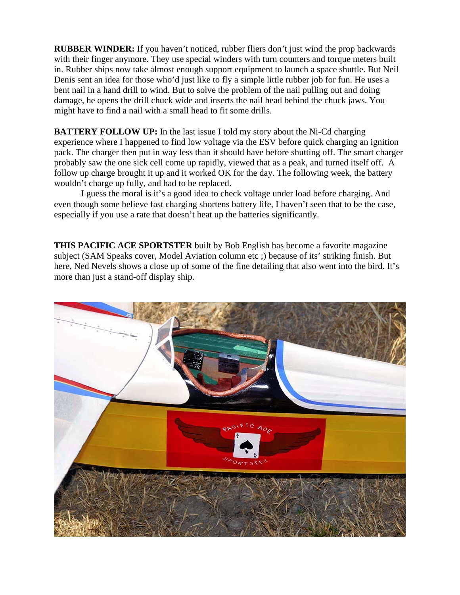**RUBBER WINDER:** If you haven't noticed, rubber fliers don't just wind the prop backwards with their finger anymore. They use special winders with turn counters and torque meters built in. Rubber ships now take almost enough support equipment to launch a space shuttle. But Neil Denis sent an idea for those who'd just like to fly a simple little rubber job for fun. He uses a bent nail in a hand drill to wind. But to solve the problem of the nail pulling out and doing damage, he opens the drill chuck wide and inserts the nail head behind the chuck jaws. You might have to find a nail with a small head to fit some drills.

**BATTERY FOLLOW UP:** In the last issue I told my story about the Ni-Cd charging experience where I happened to find low voltage via the ESV before quick charging an ignition pack. The charger then put in way less than it should have before shutting off. The smart charger probably saw the one sick cell come up rapidly, viewed that as a peak, and turned itself off. A follow up charge brought it up and it worked OK for the day. The following week, the battery wouldn't charge up fully, and had to be replaced.

 I guess the moral is it's a good idea to check voltage under load before charging. And even though some believe fast charging shortens battery life, I haven't seen that to be the case, especially if you use a rate that doesn't heat up the batteries significantly.

**THIS PACIFIC ACE SPORTSTER** built by Bob English has become a favorite magazine subject (SAM Speaks cover, Model Aviation column etc ;) because of its' striking finish. But here, Ned Nevels shows a close up of some of the fine detailing that also went into the bird. It's more than just a stand-off display ship.